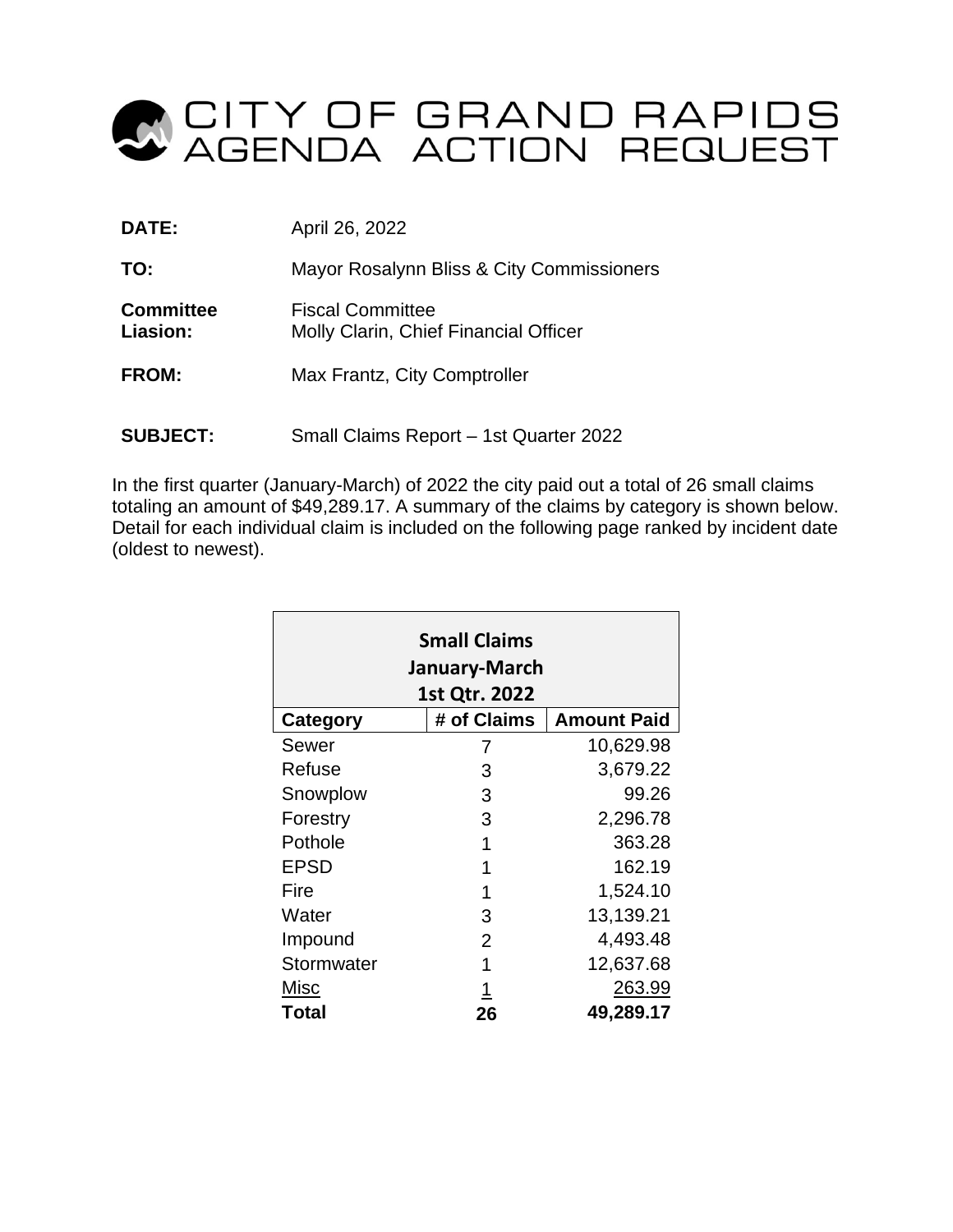

| DATE:                        | April 26, 2022                                                   |  |  |  |
|------------------------------|------------------------------------------------------------------|--|--|--|
| TO:                          | Mayor Rosalynn Bliss & City Commissioners                        |  |  |  |
| <b>Committee</b><br>Liasion: | <b>Fiscal Committee</b><br>Molly Clarin, Chief Financial Officer |  |  |  |
| FROM:                        | Max Frantz, City Comptroller                                     |  |  |  |
| <b>SUBJECT:</b>              | Small Claims Report - 1st Quarter 2022                           |  |  |  |

In the first quarter (January-March) of 2022 the city paid out a total of 26 small claims totaling an amount of \$49,289.17. A summary of the claims by category is shown below. Detail for each individual claim is included on the following page ranked by incident date (oldest to newest).

| <b>Small Claims</b><br>January-March<br>1st Qtr. 2022 |                |                    |  |  |  |  |  |  |
|-------------------------------------------------------|----------------|--------------------|--|--|--|--|--|--|
| Category                                              | # of Claims    | <b>Amount Paid</b> |  |  |  |  |  |  |
| Sewer                                                 | 7              | 10,629.98          |  |  |  |  |  |  |
| Refuse                                                | 3              | 3,679.22           |  |  |  |  |  |  |
| Snowplow                                              | 3              | 99.26              |  |  |  |  |  |  |
| Forestry                                              | 3              | 2,296.78           |  |  |  |  |  |  |
| Pothole                                               | 1              | 363.28             |  |  |  |  |  |  |
| <b>EPSD</b>                                           | 1              | 162.19             |  |  |  |  |  |  |
| Fire                                                  | 1              | 1,524.10           |  |  |  |  |  |  |
| Water                                                 | 3              | 13,139.21          |  |  |  |  |  |  |
| Impound                                               | $\overline{2}$ | 4,493.48           |  |  |  |  |  |  |
| Stormwater                                            | 1              | 12,637.68          |  |  |  |  |  |  |
| Misc                                                  | 1              | 263.99             |  |  |  |  |  |  |
| Total                                                 | 26             | 49,289.17          |  |  |  |  |  |  |